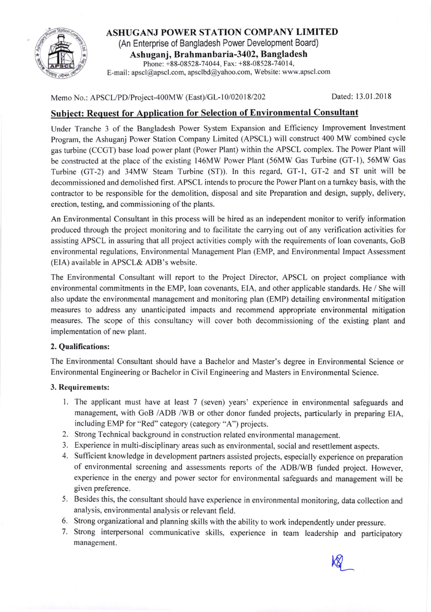

ASHUGANJ POWER STATION COMPANY LIMITED (An Enterprise of Bangladesh Power Development Board) Ashuganj, Brahmanbaria-3402, Bangladesh Phone: +88-08528-74044, Fax: +88-08528-74014, E-mail: apscl@apscl.com, apsclbd@yahoo.com, Website: www.apscl.com

Memo No.: APSCL/PD/Project-400MW (East)/GL-10/02018/202 Dated: 13.01.2018

 $\frac{1}{2}$ 

## Subject: Request for Application for Selection of Environmental Consultant

Under Tranche 3 of the Bangladesh Power System Expansion and Efficiency Improvement lnvestment Program, the Ashuganj Power Station Company Limited (APSCL) will construct 400 MW combined cycle gas turbine (CCGT) base load power plant (Power Plant) within the APSCL complex. The Power Plant will be constructed at the place of the existing 146MW Power Plant (56MW Gas Turbine (GT-1), 56MW Gas Turbine (GT-2) and 34MW Steam Turbine (ST)). ln this regard, GT-1, GT-2 and ST unit will be decommissioned and demolished first. APSCL intends to procure the Power Plant on a tumkey basis, with the contractor to be responsible for the demolition, disposal and site Preparation and design, supply, delivery, erection, testing, and commissioning of the plants.

An Environmental Consultant in this process will be hired as an independent monitor to verify information produced through the project monitoring and to facilitate the carrying out of any verification activities for assisting APSCL in assuring that all project activities comply with the requirements of loan covenants, GoB environmental regulations, Environmental Management Plan (EMP, and Environmental Impact Assessment (EIA) available in APSCL& ADB's website.

The Environmental Consultant will report to the Project Director, APSCL on project compliance with environmental commitments in the EMP, loan covenants, EIA, and other applicable standards. He / She will also update the environmental management and monitoring plan (EMP) detailing environmental mitigation measures to address any unanticipated impacts and recommend appropriate environmental mitigation measures. The scope of this consultancy will cover both decommissioning of the existing plant and implementation of new plant.

### 2. Qualifications:

The Environmental Consultant should have a Bachelor and Master's degree in Environmental Science or Environmental Engineering or Bachelor in Civil Engineering and Masters in Environmental Science.

#### 3, Requirements:

- l. The applicant must have at least 7 (seven) years' experience in environmental safeguards and management, with GoB /ADB /WB or other donor funded projects, particularly in preparing ElA, including EMP for "Red" category (category "A") projects.
- 2. Strong Technical background in construction related environmental management.
- 3. Experience in multi-disciplinary areas such as environmental, social and resettlement aspects.
- 4. Sufficient knowledge in development partners assisted projects, especially experience on preparation of environmental screening and assessments reports of the ADB/WB funded project. However, experience in the energy and power sector for environmental safeguards and management will be given preference.
- 5. Besides this, the consultant should have experience in environmental monitoring, data collection and analysis, environmental analysis or relevant field.
- 6. Strong organizational and planning skills with the ability to work independently under pressure.
- 7. Strong interpersonal communicative skills, experience in team leadership and participatory management.